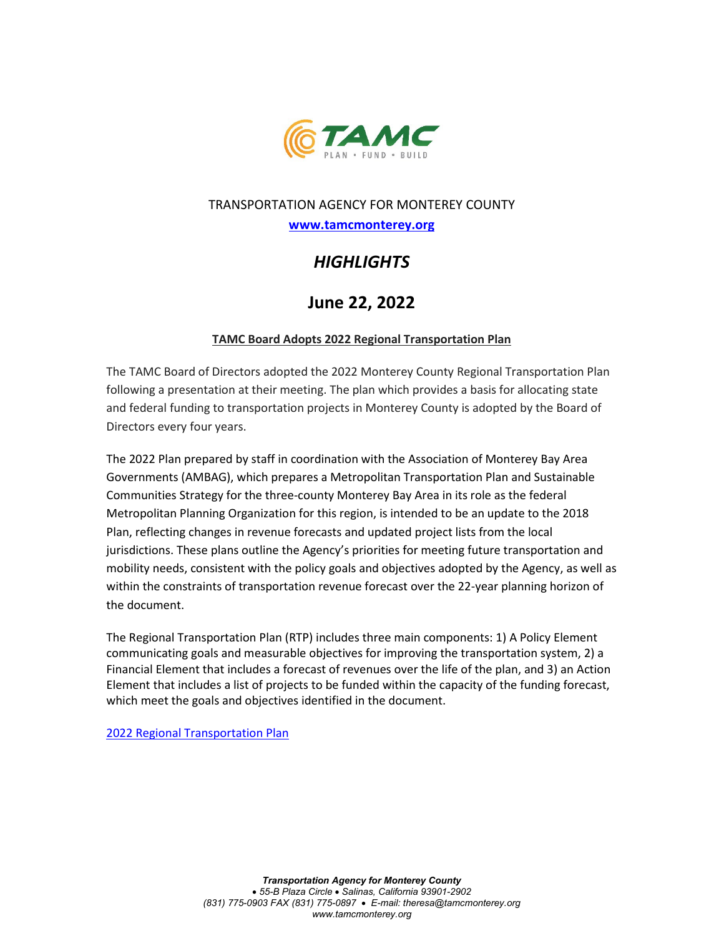

### TRANSPORTATION AGENCY FOR MONTEREY COUNTY

**[www.tamcmonterey.org](http://www.tamcmonterey.org/)**

# *HIGHLIGHTS*

## **June 22, 2022**

#### **TAMC Board Adopts 2022 Regional Transportation Plan**

The TAMC Board of Directors adopted the 2022 Monterey County Regional Transportation Plan following a presentation at their meeting. The plan which provides a basis for allocating state and federal funding to transportation projects in Monterey County is adopted by the Board of Directors every four years.

The 2022 Plan prepared by staff in coordination with the Association of Monterey Bay Area Governments (AMBAG), which prepares a Metropolitan Transportation Plan and Sustainable Communities Strategy for the three-county Monterey Bay Area in its role as the federal Metropolitan Planning Organization for this region, is intended to be an update to the 2018 Plan, reflecting changes in revenue forecasts and updated project lists from the local jurisdictions. These plans outline the Agency's priorities for meeting future transportation and mobility needs, consistent with the policy goals and objectives adopted by the Agency, as well as within the constraints of transportation revenue forecast over the 22-year planning horizon of the document.

The Regional Transportation Plan (RTP) includes three main components: 1) A Policy Element communicating goals and measurable objectives for improving the transportation system, 2) a Financial Element that includes a forecast of revenues over the life of the plan, and 3) an Action Element that includes a list of projects to be funded within the capacity of the funding forecast, which meet the goals and objectives identified in the document.

[2022 Regional Transportation Plan](https://tamcmonterey.sharepoint.com/:b:/g/EVmLd-rmeBVFsjFn0Onw1jwBfoaDT-kgPtc6fs9V8t8jrw?e=jkhweT)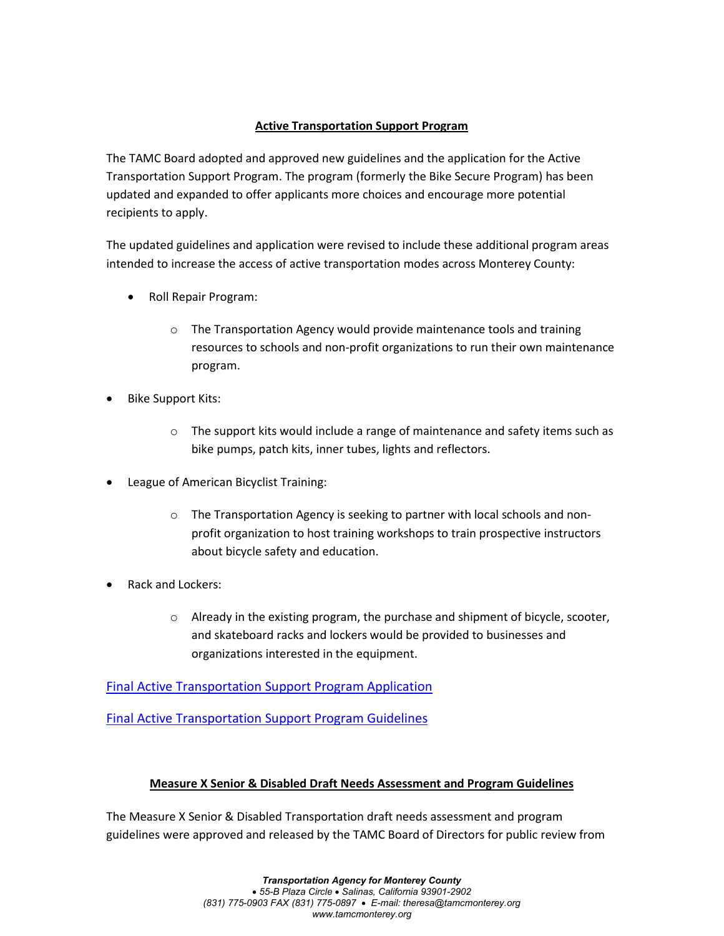#### **Active Transportation Support Program**

The TAMC Board adopted and approved new guidelines and the application for the Active Transportation Support Program. The program (formerly the Bike Secure Program) has been updated and expanded to offer applicants more choices and encourage more potential recipients to apply.

The updated guidelines and application were revised to include these additional program areas intended to increase the access of active transportation modes across Monterey County:

- Roll Repair Program:
	- o The Transportation Agency would provide maintenance tools and training resources to schools and non-profit organizations to run their own maintenance program.
- Bike Support Kits:
	- $\circ$  The support kits would include a range of maintenance and safety items such as bike pumps, patch kits, inner tubes, lights and reflectors.
- League of American Bicyclist Training:
	- o The Transportation Agency is seeking to partner with local schools and nonprofit organization to host training workshops to train prospective instructors about bicycle safety and education.
- Rack and Lockers:
	- o Already in the existing program, the purchase and shipment of bicycle, scooter, and skateboard racks and lockers would be provided to businesses and organizations interested in the equipment.

[Final Active Transportation Support Program Application](https://tamcmonterey.sharepoint.com/:b:/g/EeGeoBv72DJFvPulaoedtiUBLVdKugO3L_4H-k2AcG5QsA?e=dC2xjq)

[Final Active Transportation Support Program Guidelines](https://tamcmonterey.sharepoint.com/:b:/g/EZvFrM38yVNFoC5yDQe7-lYBcDUzqoE_zG_8axBkbt40sw?e=Eupdte)

#### **Measure X Senior & Disabled Draft Needs Assessment and Program Guidelines**

The Measure X Senior & Disabled Transportation draft needs assessment and program guidelines were approved and released by the TAMC Board of Directors for public review from

> *Transportation Agency for Monterey County* • *55-B Plaza Circle* • *Salinas, California 93901-2902 (831) 775-0903 FAX (831) 775-0897* • *E-mail: theresa@tamcmonterey.org www.tamcmonterey.org*